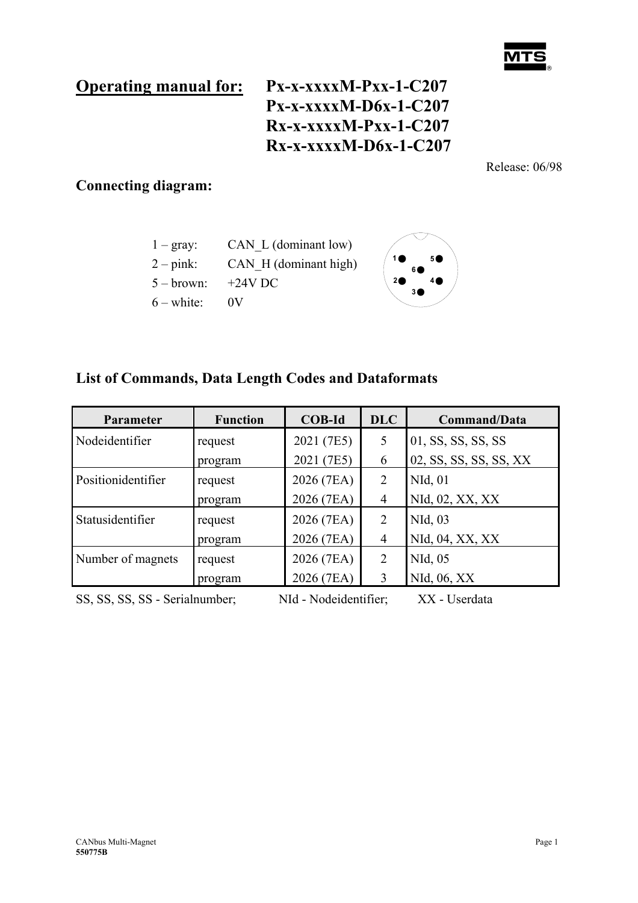# **Operating manual for: Px-x-xxxxM-Pxx-1-C207 Px-x-xxxxM-D6x-1-C207 Rx-x-xxxxM-Pxx-1-C207 Rx-x-xxxxM-D6x-1-C207**

Release: 06/98

## **Connecting diagram:**





### **List of Commands, Data Length Codes and Dataformats**

| Parameter                      | <b>Function</b> | <b>COB-Id</b>         | <b>DLC</b>     | Command/Data           |
|--------------------------------|-----------------|-----------------------|----------------|------------------------|
| Nodeidentifier                 | request         | 2021 (7E5)            | 5              | 01, SS, SS, SS, SS     |
|                                | program         | 2021 (7E5)            | 6              | 02, SS, SS, SS, SS, XX |
| Positionidentifier             | request         | 2026 (7EA)            | 2              | NId, 01                |
|                                | program         | 2026 (7EA)            | $\overline{4}$ | NId, 02, XX, XX        |
| Statusidentifier               | request         | 2026 (7EA)            | 2              | NId, 03                |
|                                | program         | 2026 (7EA)            | $\overline{4}$ | NId, 04, XX, XX        |
| Number of magnets              | request         | 2026 (7EA)            | 2              | NId, 05                |
|                                | program         | 2026 (7EA)            | 3              | NId, 06, XX            |
| SS, SS, SS, SS - Serialnumber; |                 | NId - Nodeidentifier; |                | XX - Userdata          |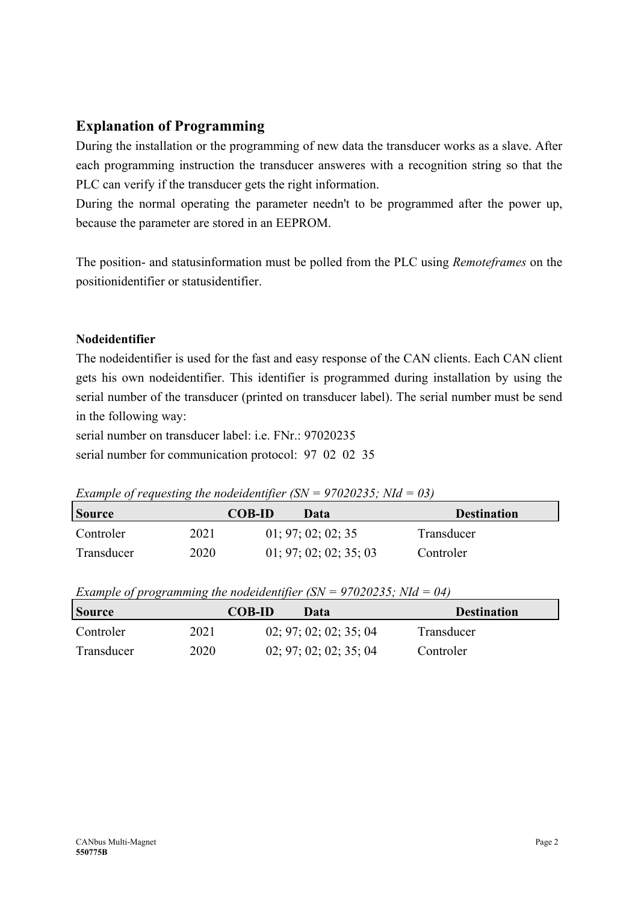### **Explanation of Programming**

During the installation or the programming of new data the transducer works as a slave. After each programming instruction the transducer answeres with a recognition string so that the PLC can verify if the transducer gets the right information.

During the normal operating the parameter needn't to be programmed after the power up, because the parameter are stored in an EEPROM.

The position- and statusinformation must be polled from the PLC using *Remoteframes* on the positionidentifier or statusidentifier.

#### **Nodeidentifier**

The nodeidentifier is used for the fast and easy response of the CAN clients. Each CAN client gets his own nodeidentifier. This identifier is programmed during installation by using the serial number of the transducer (printed on transducer label). The serial number must be send in the following way:

serial number on transducer label: i.e. FNr.: 97020235 serial number for communication protocol: 97 02 02 35

*Example of requesting the nodeidentifier (SN = 97020235; NId = 03)* 

| <b>Source</b> | <b>COB-ID</b> | Data                   | <b>Destination</b> |
|---------------|---------------|------------------------|--------------------|
| Controler     | 2021          | 01; 97; 02; 02; 35     | Transducer         |
| Transducer    | 2020          | 01; 97; 02; 02; 35; 03 | Controler          |

*Example of programming the nodeidentifier (SN = 97020235; NId = 04)*

| <b>Source</b> | <b>COB-ID</b> | Data                   | <b>Destination</b> |
|---------------|---------------|------------------------|--------------------|
| Controler     | 2021          | 02; 97; 02; 02; 35; 04 | Transducer         |
| Transducer    | 2020          | 02; 97; 02; 02; 35; 04 | Controler          |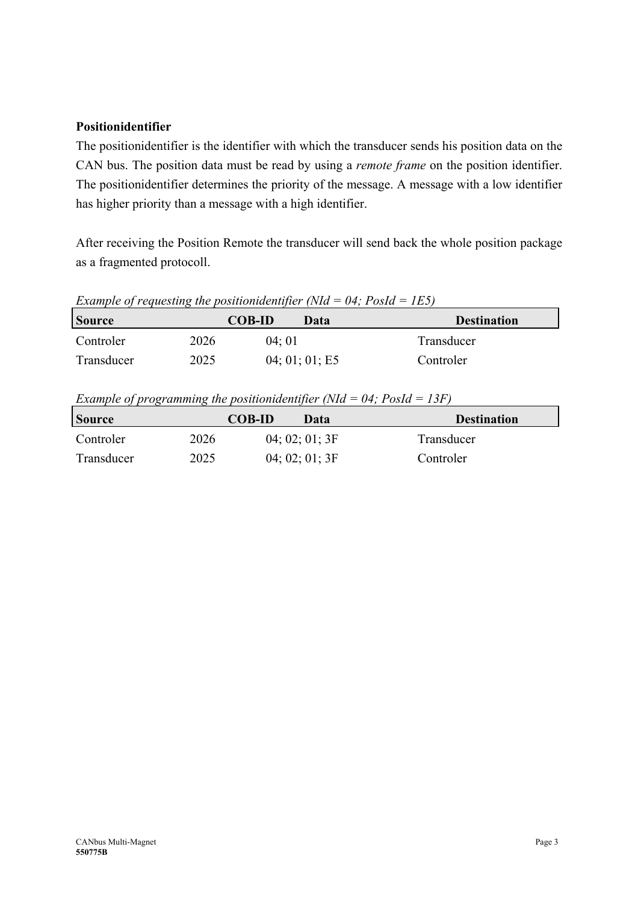#### **Positionidentifier**

The positionidentifier is the identifier with which the transducer sends his position data on the CAN bus. The position data must be read by using a *remote frame* on the position identifier. The positionidentifier determines the priority of the message. A message with a low identifier has higher priority than a message with a high identifier.

After receiving the Position Remote the transducer will send back the whole position package as a fragmented protocoll.

*Example of requesting the positionidentifier (NId = 04; PosId = 1E5)*

| <b>Source</b> | <b>COB-ID</b> |       | Data           | <b>Destination</b> |
|---------------|---------------|-------|----------------|--------------------|
| Controler     | 2026          | 04:01 |                | Transducer         |
| Transducer    | 2025          |       | 04; 01; 01; E5 | Controler          |

*Example of programming the positionidentifier (NId = 04; PosId = 13F)*

| <b>Source</b> | <b>COB-ID</b> | Data           | <b>Destination</b> |
|---------------|---------------|----------------|--------------------|
| Controler     | 2026          | 04;02;01;3F    | Transducer         |
| Transducer    | 2025          | 04; 02; 01; 3F | Controler          |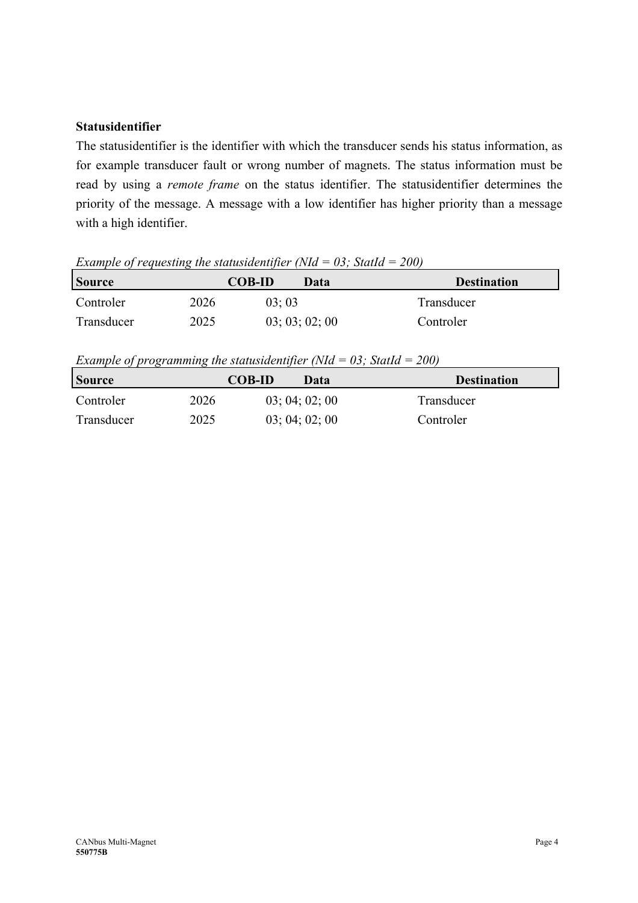#### **Statusidentifier**

The statusidentifier is the identifier with which the transducer sends his status information, as for example transducer fault or wrong number of magnets. The status information must be read by using a *remote frame* on the status identifier. The statusidentifier determines the priority of the message. A message with a low identifier has higher priority than a message with a high identifier.

*Example of requesting the statusidentifier (NId = 03; StatId = 200)*

| <b>Source</b> |      | <b>COB-ID</b> | Data           | <b>Destination</b> |
|---------------|------|---------------|----------------|--------------------|
| Controler     | 2026 | 03:03         |                | Transducer         |
| Transducer    | 2025 |               | 03; 03; 02; 00 | Controler          |

*Example of programming the statusidentifier (NId = 03; StatId = 200)*

| <b>Source</b> | <b>COB-ID</b> | Data           | <b>Destination</b> |
|---------------|---------------|----------------|--------------------|
| Controler     | 2026          | 03; 04; 02; 00 | Transducer         |
| Transducer    | 2025          | 03; 04; 02; 00 | Controler          |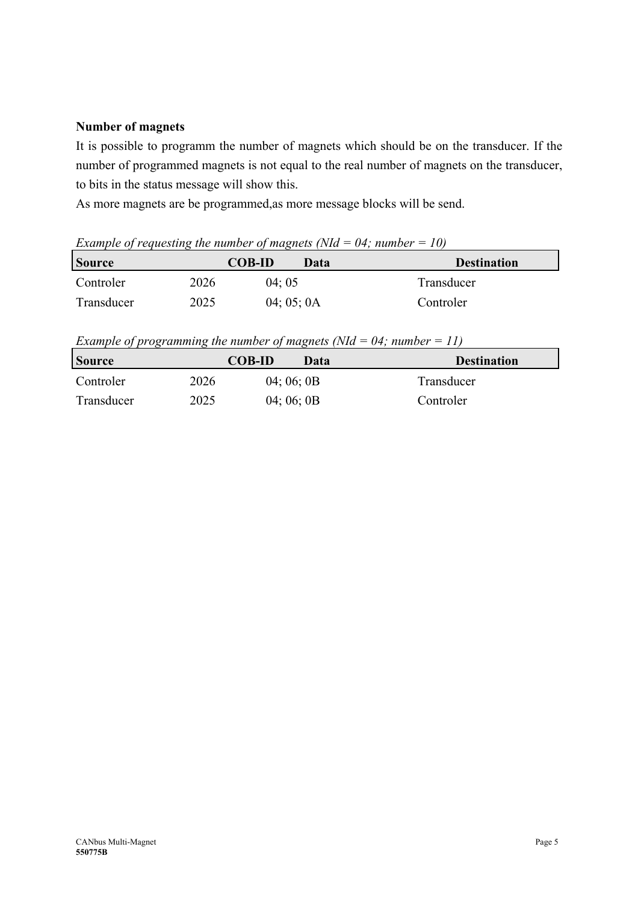#### **Number of magnets**

It is possible to programm the number of magnets which should be on the transducer. If the number of programmed magnets is not equal to the real number of magnets on the transducer, to bits in the status message will show this.

As more magnets are be programmed,as more message blocks will be send.

*Example of requesting the number of magnets (NId = 04; number = 10)*

| <b>Source</b> | <b>COB-ID</b> |            | Data | <b>Destination</b> |
|---------------|---------------|------------|------|--------------------|
| Controler     | 2026          | 04:05      |      | Transducer         |
| Transducer    | 2025          | 04; 05; 0A |      | Controler          |

*Example of programming the number of magnets (NId = 04; number = 11)* 

| <b>Source</b> | <b>COB-ID</b> | Data       | <b>Destination</b> |
|---------------|---------------|------------|--------------------|
| Controler     | 2026          | 04; 06; 0B | Transducer         |
| Transducer    | 2025          | 04; 06; 0B | Controler          |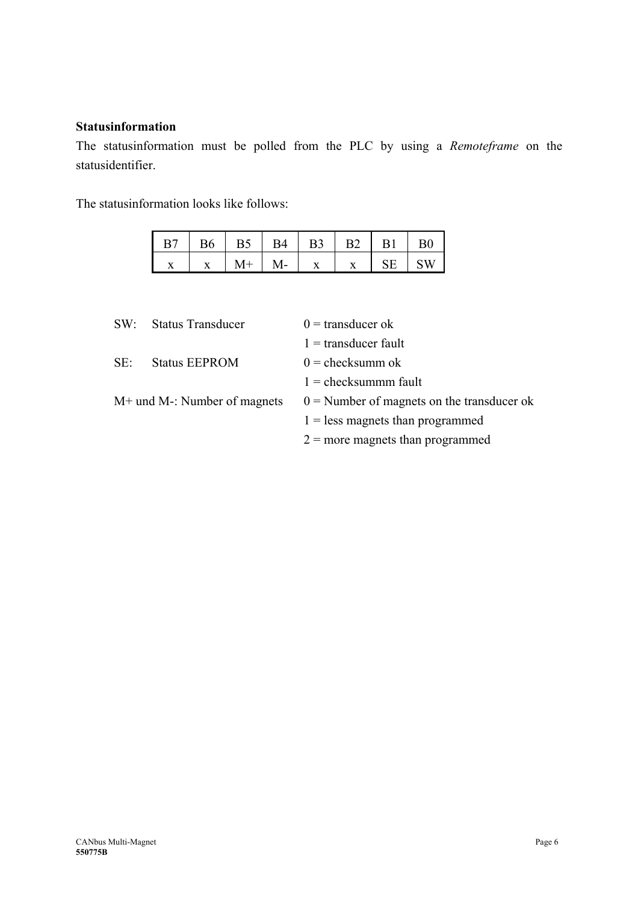#### **Statusinformation**

The statusinformation must be polled from the PLC by using a *Remoteframe* on the statusidentifier.

The statusinformation looks like follows:

| B7 | <b>B6</b> | B5   | R4 | B3                | B <sub>2</sub> | ΒO |
|----|-----------|------|----|-------------------|----------------|----|
|    | --        | -M-. |    | $\mathbf{v}$<br>л |                | V  |

| $SW^{\mathcal{L}}$ | <b>Status Transducer</b>       | $0 =$ transducer ok                          |
|--------------------|--------------------------------|----------------------------------------------|
|                    |                                | $1 =$ transducer fault                       |
| $SE^+$             | <b>Status EEPROM</b>           | $0 =$ checksumm ok                           |
|                    |                                | $1 =$ checksummm fault                       |
|                    | $M+$ und M-: Number of magnets | $0 =$ Number of magnets on the transducer ok |
|                    |                                | $1 =$ less magnets than programmed           |
|                    |                                | $2 =$ more magnets than programmed           |
|                    |                                |                                              |